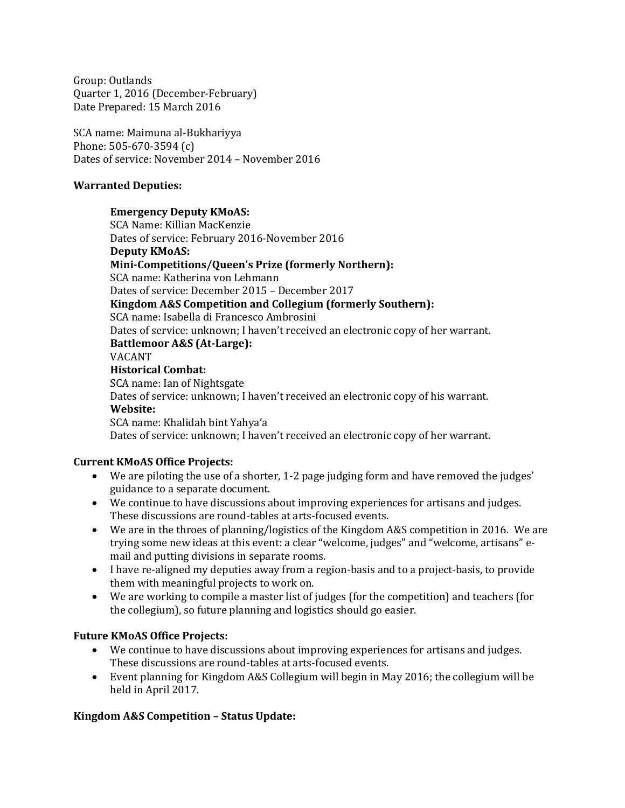Group: Outlands Quarter 1, 2016 (December-February) Date Prepared: 15 March 2016

SCA name: Maimuna al-Bukhariyya Phone: 505-670-3594 (c) Dates of service: November 2014 – November 2016

### **Warranted Deputies:**

#### **Emergency Deputy KMoAS:**

SCA Name: Killian MacKenzie Dates of service: February 2016-November 2016 **Deputy KMoAS: Mini-Competitions/Queen's Prize (formerly Northern):** SCA name: Katherina von Lehmann Dates of service: December 2015 – December 2017 **Kingdom A&S Competition and Collegium (formerly Southern):** SCA name: Isabella di Francesco Ambrosini Dates of service: unknown; I haven't received an electronic copy of her warrant. **Battlemoor A&S (At-Large):** VACANT **Historical Combat:** SCA name: Ian of Nightsgate Dates of service: unknown; I haven't received an electronic copy of his warrant. **Website:** SCA name: Khalidah bint Yahya'a Dates of service: unknown; I haven't received an electronic copy of her warrant.

### **Current KMoAS Office Projects:**

- We are piloting the use of a shorter, 1-2 page judging form and have removed the judges' guidance to a separate document.
- We continue to have discussions about improving experiences for artisans and judges. These discussions are round-tables at arts-focused events.
- We are in the throes of planning/logistics of the Kingdom A&S competition in 2016. We are trying some new ideas at this event: a clear "welcome, judges" and "welcome, artisans" email and putting divisions in separate rooms.
- I have re-aligned my deputies away from a region-basis and to a project-basis, to provide them with meaningful projects to work on.
- We are working to compile a master list of judges (for the competition) and teachers (for the collegium), so future planning and logistics should go easier.

### **Future KMoAS Office Projects:**

- We continue to have discussions about improving experiences for artisans and judges. These discussions are round-tables at arts-focused events.
- Event planning for Kingdom A&S Collegium will begin in May 2016; the collegium will be held in April 2017.

### **Kingdom A&S Competition – Status Update:**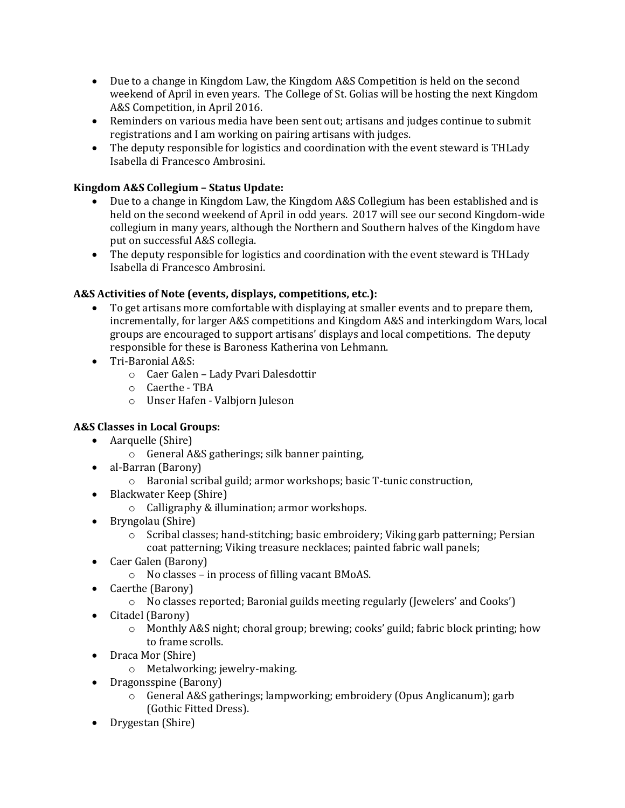- Due to a change in Kingdom Law, the Kingdom A&S Competition is held on the second weekend of April in even years. The College of St. Golias will be hosting the next Kingdom A&S Competition, in April 2016.
- Reminders on various media have been sent out; artisans and judges continue to submit registrations and I am working on pairing artisans with judges.
- The deputy responsible for logistics and coordination with the event steward is THLady Isabella di Francesco Ambrosini.

## **Kingdom A&S Collegium – Status Update:**

- Due to a change in Kingdom Law, the Kingdom A&S Collegium has been established and is held on the second weekend of April in odd years. 2017 will see our second Kingdom-wide collegium in many years, although the Northern and Southern halves of the Kingdom have put on successful A&S collegia.
- The deputy responsible for logistics and coordination with the event steward is THLady Isabella di Francesco Ambrosini.

### **A&S Activities of Note (events, displays, competitions, etc.):**

- To get artisans more comfortable with displaying at smaller events and to prepare them, incrementally, for larger A&S competitions and Kingdom A&S and interkingdom Wars, local groups are encouraged to support artisans' displays and local competitions. The deputy responsible for these is Baroness Katherina von Lehmann.
- Tri-Baronial A&S:
	- o Caer Galen Lady Pvari Dalesdottir
	- o Caerthe TBA
	- o Unser Hafen Valbjorn Juleson

## **A&S Classes in Local Groups:**

- Aarquelle (Shire)
	- o General A&S gatherings; silk banner painting,
- al-Barran (Barony)
	- o Baronial scribal guild; armor workshops; basic T-tunic construction,
- Blackwater Keep (Shire)
	- o Calligraphy & illumination; armor workshops.
- Bryngolau (Shire)
	- $\circ$  Scribal classes; hand-stitching; basic embroidery; Viking garb patterning; Persian coat patterning; Viking treasure necklaces; painted fabric wall panels;
- Caer Galen (Barony)
	- o No classes in process of filling vacant BMoAS.
- Caerthe (Barony)
	- o No classes reported; Baronial guilds meeting regularly (Jewelers' and Cooks')
- Citadel (Barony)
	- o Monthly A&S night; choral group; brewing; cooks' guild; fabric block printing; how to frame scrolls.
- Draca Mor (Shire)
	- o Metalworking; jewelry-making.
- Dragonsspine (Barony)
	- o General A&S gatherings; lampworking; embroidery (Opus Anglicanum); garb (Gothic Fitted Dress).
- Drygestan (Shire)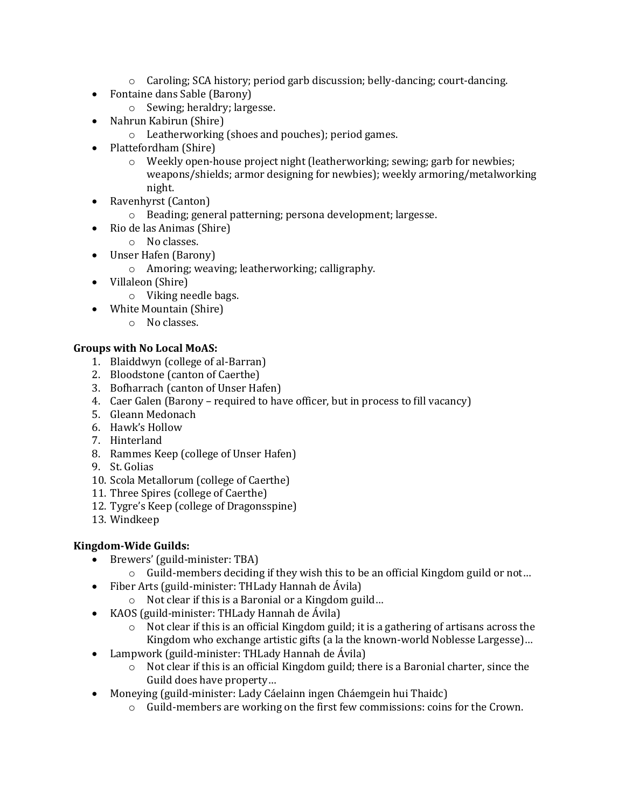- $\circ$  Caroling; SCA history; period garb discussion; belly-dancing; court-dancing.
- Fontaine dans Sable (Barony)
	- o Sewing; heraldry; largesse.
- Nahrun Kabirun (Shire)
	- o Leatherworking (shoes and pouches); period games.
- Plattefordham (Shire)
	- o Weekly open-house project night (leatherworking; sewing; garb for newbies; weapons/shields; armor designing for newbies); weekly armoring/metalworking night.
- Ravenhyrst (Canton)
	- o Beading; general patterning; persona development; largesse.
- Rio de las Animas (Shire)
	- o No classes.
- Unser Hafen (Barony)
	- o Amoring; weaving; leatherworking; calligraphy.
- Villaleon (Shire)
	- o Viking needle bags.
- White Mountain (Shire)
	- o No classes.

## **Groups with No Local MoAS:**

- 1. Blaiddwyn (college of al-Barran)
- 2. Bloodstone (canton of Caerthe)
- 3. Bofharrach (canton of Unser Hafen)
- 4. Caer Galen (Barony required to have officer, but in process to fill vacancy)
- 5. Gleann Medonach
- 6. Hawk's Hollow
- 7. Hinterland
- 8. Rammes Keep (college of Unser Hafen)
- 9. St. Golias
- 10. Scola Metallorum (college of Caerthe)
- 11. Three Spires (college of Caerthe)
- 12. Tygre's Keep (college of Dragonsspine)
- 13. Windkeep

## **Kingdom-Wide Guilds:**

- Brewers' (guild-minister: TBA)
	- o Guild-members deciding if they wish this to be an official Kingdom guild or not…
- Fiber Arts (guild-minister: THLady Hannah de Ávila)
	- o Not clear if this is a Baronial or a Kingdom guild…
- KAOS (guild-minister: THLady Hannah de Ávila)
	- $\circ$  Not clear if this is an official Kingdom guild; it is a gathering of artisans across the Kingdom who exchange artistic gifts (a la the known-world Noblesse Largesse)…
- Lampwork (guild-minister: THLady Hannah de Ávila)
	- o Not clear if this is an official Kingdom guild; there is a Baronial charter, since the Guild does have property…
- Moneying (guild-minister: Lady Cáelainn ingen Cháemgein hui Thaidc)
	- o Guild-members are working on the first few commissions: coins for the Crown.